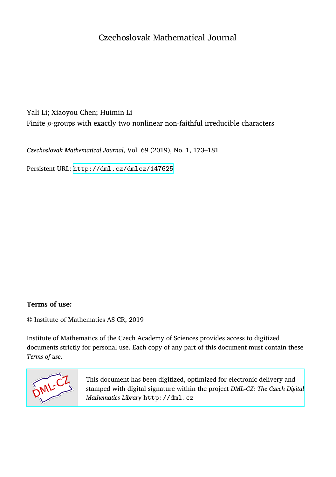# Yali Li; Xiaoyou Chen; Huimin Li Finite *p*-groups with exactly two nonlinear non-faithful irreducible characters

*Czechoslovak Mathematical Journal*, Vol. 69 (2019), No. 1, 173–181

Persistent URL: <http://dml.cz/dmlcz/147625>

## **Terms of use:**

© Institute of Mathematics AS CR, 2019

Institute of Mathematics of the Czech Academy of Sciences provides access to digitized documents strictly for personal use. Each copy of any part of this document must contain these *Terms of use*.



[This document has been digitized, optimized for electronic delivery and](http://dml.cz) stamped with digital signature within the project *DML-CZ: The Czech Digital Mathematics Library* http://dml.cz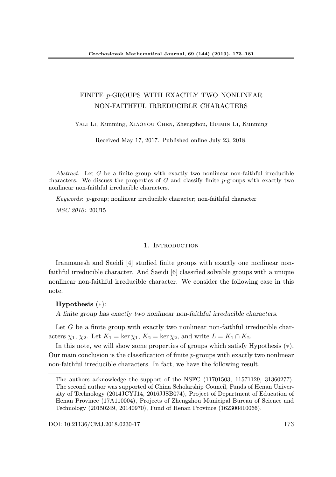## FINITE p-GROUPS WITH EXACTLY TWO NONLINEAR NON-FAITHFUL IRREDUCIBLE CHARACTERS

YALI LI, Kunming, XIAOYOU CHEN, Zhengzhou, HUIMIN LI, Kunming

Received May 17, 2017. Published online July 23, 2018.

Abstract. Let G be a finite group with exactly two nonlinear non-faithful irreducible characters. We discuss the properties of  $G$  and classify finite  $p$ -groups with exactly two nonlinear non-faithful irreducible characters.

Keywords: p-group; nonlinear irreducible character; non-faithful character

MSC 2010: 20C15

## 1. INTRODUCTION

Iranmanesh and Saeidi [4] studied finite groups with exactly one nonlinear nonfaithful irreducible character. And Saeidi [6] classified solvable groups with a unique nonlinear non-faithful irreducible character. We consider the following case in this note.

 $Hypothesis$  (\*):

A finite group has exactly two nonlinear non-faithful irreducible characters.

Let G be a finite group with exactly two nonlinear non-faithful irreducible characters  $\chi_1$ ,  $\chi_2$ . Let  $K_1 = \ker \chi_1$ ,  $K_2 = \ker \chi_2$ , and write  $L = K_1 \cap K_2$ .

In this note, we will show some properties of groups which satisfy Hypothesis (∗). Our main conclusion is the classification of finite  $p$ -groups with exactly two nonlinear non-faithful irreducible characters. In fact, we have the following result.

The authors acknowledge the support of the NSFC (11701503, 11571129, 31360277). The second author was supported of China Scholarship Council, Funds of Henan University of Technology (2014JCYJ14, 2016JJSB074), Project of Department of Education of Henan Province (17A110004), Projects of Zhengzhou Municipal Bureau of Science and Technology (20150249, 20140970), Fund of Henan Province (162300410066).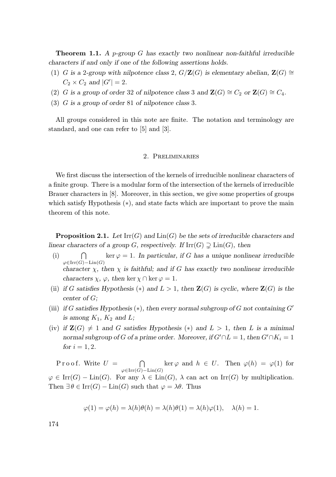**Theorem 1.1.** A p-group G has exactly two nonlinear non-faithful irreducible characters if and only if one of the following assertions holds.

- (1) G is a 2-group with nilpotence class 2,  $G/\mathbf{Z}(G)$  is elementary abelian,  $\mathbf{Z}(G) \cong$  $C_2 \times C_2$  and  $|G'| = 2$ .
- (2) G is a group of order 32 of nilpotence class 3 and  $\mathbf{Z}(G) \cong C_2$  or  $\mathbf{Z}(G) \cong C_4$ .
- (3) G is a group of order 81 of nilpotence class 3.

All groups considered in this note are finite. The notation and terminology are standard, and one can refer to [5] and [3].

### 2. Preliminaries

We first discuss the intersection of the kernels of irreducible nonlinear characters of a finite group. There is a modular form of the intersection of the kernels of irreducible Brauer characters in [8]. Moreover, in this section, we give some properties of groups which satisfy Hypothesis (∗), and state facts which are important to prove the main theorem of this note.

**Proposition 2.1.** Let  $\text{Irr}(G)$  and  $\text{Lin}(G)$  be the sets of irreducible characters and linear characters of a group G, respectively. If  $\mathrm{Irr}(G) \supsetneq \mathrm{Lin}(G)$ , then

- $(i) \cap$  $\varphi \in \mathrm{Irr}(G)-\mathrm{Lin}(G)$ ker  $\varphi = 1$ . In particular, if G has a unique nonlinear irreducible character  $\chi$ , then  $\chi$  is faithful; and if G has exactly two nonlinear irreducible characters  $\chi$ ,  $\varphi$ , then ker  $\chi \cap \ker \varphi = 1$ .
- (ii) if G satisfies Hypothesis (\*) and  $L > 1$ , then  $\mathbf{Z}(G)$  is cyclic, where  $\mathbf{Z}(G)$  is the center of G;
- (iii) if G satisfies Hypothesis  $(*)$ , then every normal subgroup of G not containing G' is among  $K_1$ ,  $K_2$  and L;
- (iv) if  $\mathbf{Z}(G) \neq 1$  and G satisfies Hypothesis (\*) and  $L > 1$ , then L is a minimal normal subgroup of G of a prime order. Moreover, if  $G' \cap L = 1$ , then  $G' \cap K_i = 1$ for  $i = 1, 2$ .

P r o o f. Write  $U =$  $\cap$  $\varphi \in \mathrm{Irr}(G)-\mathrm{Lin}(G)$ ker  $\varphi$  and  $h \in U$ . Then  $\varphi(h) = \varphi(1)$  for  $\varphi \in \text{Irr}(G) - \text{Lin}(G)$ . For any  $\lambda \in \text{Lin}(G)$ ,  $\lambda$  can act on  $\text{Irr}(G)$  by multiplication. Then  $\exists \theta \in \text{Irr}(G) - \text{Lin}(G)$  such that  $\varphi = \lambda \theta$ . Thus

$$
\varphi(1) = \varphi(h) = \lambda(h)\theta(h) = \lambda(h)\theta(1) = \lambda(h)\varphi(1), \quad \lambda(h) = 1.
$$

174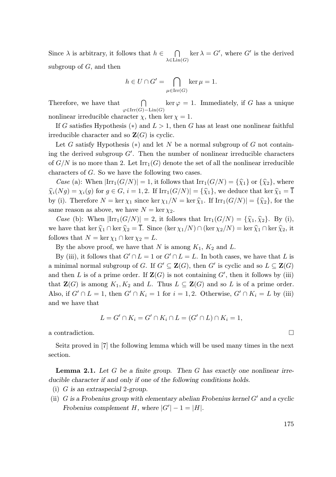Since  $\lambda$  is arbitrary, it follows that  $h \in$  $\bigcap$  ker  $\lambda = G'$ , where G' is the derived  $\lambda \in \text{Lin}(G)$ subgroup of  $G$ , and then

> $h \in U \cap G' = \bigcap \ker \mu = 1.$  $\mu \in \mathrm{Irr}(G)$

Therefore, we have that  $\bigcap$ <br> $\varphi \in \text{Irr}(G)-\text{Lin}(G)$  $ker \varphi = 1.$  Immediately, if G has a unique nonlinear irreducible character  $\chi$ , then ker  $\chi = 1$ .

If G satisfies Hypothesis (\*) and  $L > 1$ , then G has at least one nonlinear faithful irreducible character and so  $\mathbf{Z}(G)$  is cyclic.

Let G satisfy Hypothesis  $(*)$  and let N be a normal subgroup of G not containing the derived subgroup  $G'$ . Then the number of nonlinear irreducible characters of  $G/N$  is no more than 2. Let  $\text{Irr}_1(G)$  denote the set of all the nonlinear irreducible characters of G. So we have the following two cases.

Case (a): When  $\text{Irr}_1(G/N) = 1$ , it follows that  $\text{Irr}_1(G/N) = {\hat{\chi}_1}$  or  ${\hat{\chi}_2}$ , where  $\widehat{\chi}_i(Ng) = \chi_i(g)$  for  $g \in G$ ,  $i = 1, 2$ . If  $\text{Irr}_1(G/N) = {\widehat{\chi}_1}$ , we deduce that ker  $\widehat{\chi}_1 = \overline{1}$ by (i). Therefore  $N = \ker \chi_1$  since  $\ker \chi_1/N = \ker \hat{\chi}_1$ . If  $\text{Irr}_1(G/N) = {\hat{\chi}_2}$ , for the same reason as above, we have  $N = \ker \chi_2$ .

Case (b): When  $|\text{Irr}_1(G/N)| = 2$ , it follows that  $\text{Irr}_1(G/N) = {\hat{\chi}_1, \hat{\chi}_2}.$  By (i), we have that ker  $\widehat{\chi}_1 \cap \ker \widehat{\chi}_2 = \overline{1}$ . Since  $(\ker \chi_1/N) \cap (\ker \chi_2/N) = \ker \widehat{\chi}_1 \cap \ker \widehat{\chi}_2$ , it follows that  $N = \ker \chi_1 \cap \ker \chi_2 = L$ .

By the above proof, we have that N is among  $K_1$ ,  $K_2$  and L.

By (iii), it follows that  $G' \cap L = 1$  or  $G' \cap L = L$ . In both cases, we have that L is a minimal normal subgroup of G. If  $G' \subseteq \mathbf{Z}(G)$ , then G' is cyclic and so  $L \subseteq \mathbf{Z}(G)$ and then L is of a prime order. If  $\mathbf{Z}(G)$  is not containing  $G'$ , then it follows by (iii) that  $\mathbf{Z}(G)$  is among  $K_1, K_2$  and L. Thus  $L \subseteq \mathbf{Z}(G)$  and so L is of a prime order. Also, if  $G' \cap L = 1$ , then  $G' \cap K_i = 1$  for  $i = 1, 2$ . Otherwise,  $G' \cap K_i = L$  by (iii) and we have that

$$
L = G' \cap K_i = G' \cap K_i \cap L = (G' \cap L) \cap K_i = 1,
$$

a contradiction.  $\Box$ 

Seitz proved in [7] the following lemma which will be used many times in the next section.

**Lemma 2.1.** Let  $G$  be a finite group. Then  $G$  has exactly one nonlinear irreducible character if and only if one of the following conditions holds.

- (i) G is an extraspecial 2-group.
- (ii)  $G$  is a Frobenius group with elementary abelian Frobenius kernel  $G'$  and a cyclic Frobenius complement H, where  $|G'|-1=|H|$ .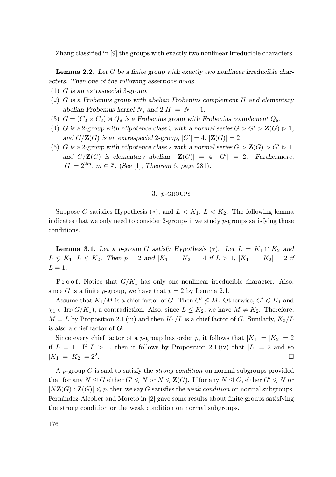Zhang classified in [9] the groups with exactly two nonlinear irreducible characters.

**Lemma 2.2.** Let  $G$  be a finite group with exactly two nonlinear irreducible characters. Then one of the following assertions holds.

- (1) G is an extraspecial 3-group.
- (2) G is a Frobenius group with abelian Frobenius complement H and elementary abelian Frobenius kernel N, and  $2|H| = |N| - 1$ .
- (3)  $G = (C_3 \times C_3) \rtimes Q_8$  is a Frobenius group with Frobenius complement  $Q_8$ .
- (4) G is a 2-group with nilpotence class 3 with a normal series  $G \triangleright G' \triangleright \mathbf{Z}(G) \triangleright 1$ , and  $G/\mathbf{Z}(G)$  is an extraspecial 2-group,  $|G'| = 4$ ,  $|\mathbf{Z}(G)| = 2$ .
- (5) G is a 2-group with nilpotence class 2 with a normal series  $G \triangleright \mathbf{Z}(G) \triangleright G' \triangleright 1$ , and  $G/\mathbf{Z}(G)$  is elementary abelian,  $|\mathbf{Z}(G)| = 4$ ,  $|G'| = 2$ . Furthermore,  $|G| = 2^{2m}, m \in \mathbb{Z}$ . (See [1], Theorem 6, page 281).

### 3. p-groups

Suppose G satisfies Hypothesis  $(*),$  and  $L < K_1, L < K_2$ . The following lemma indicates that we only need to consider 2-groups if we study  $p$ -groups satisfying those conditions.

**Lemma 3.1.** Let a p-group G satisfy Hypothesis (\*). Let  $L = K_1 \cap K_2$  and  $L \nleq K_1, L \nleq K_2$ . Then  $p = 2$  and  $|K_1| = |K_2| = 4$  if  $L > 1$ ,  $|K_1| = |K_2| = 2$  if  $L=1$ .

P r o o f. Notice that  $G/K_1$  has only one nonlinear irreducible character. Also, since G is a finite p-group, we have that  $p = 2$  by Lemma 2.1.

Assume that  $K_1/M$  is a chief factor of G. Then  $G' \nleq M$ . Otherwise,  $G' \nleq K_1$  and  $\chi_1 \in \text{Irr}(G/K_1)$ , a contradiction. Also, since  $L \leq K_2$ , we have  $M \neq K_2$ . Therefore,  $M = L$  by Proposition 2.1 (iii) and then  $K_1/L$  is a chief factor of G. Similarly,  $K_2/L$ is also a chief factor of G.

Since every chief factor of a *p*-group has order *p*, it follows that  $|K_1| = |K_2| = 2$ if  $L = 1$ . If  $L > 1$ , then it follows by Proposition 2.1 (iv) that  $|L| = 2$  and so  $|K_1| = |K_2| = 2^2.$ .

A p-group  $G$  is said to satisfy the *strong condition* on normal subgroups provided that for any  $N \trianglelefteq G$  either  $G' \leqslant N$  or  $N \leq \mathbf{Z}(G)$ . If for any  $N \trianglelefteq G$ , either  $G' \leqslant N$  or  $|N\mathbf{Z}(G)| \leqslant p$ , then we say G satisfies the *weak condition* on normal subgroups. Fernández-Alcober and Moretó in [2] gave some results about finite groups satisfying the strong condition or the weak condition on normal subgroups.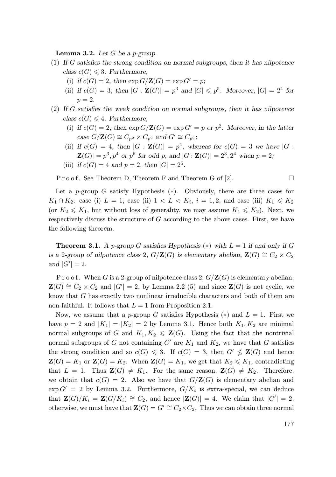**Lemma 3.2.** Let  $G$  be a p-group.

- (1) If G satisfies the strong condition on normal subgroups, then it has nilpotence class  $c(G) \leq 3$ . Furthermore,
	- (i) if  $c(G) = 2$ , then  $\exp G/\mathbf{Z}(G) = \exp G' = p$ ;
	- (ii) if  $c(G) = 3$ , then  $|G : \mathbf{Z}(G)| = p^3$  and  $|G| \leqslant p^5$ . Moreover,  $|G| = 2^4$  for  $p=2.$
- (2) If G satisfies the weak condition on normal subgroups, then it has nilpotence class  $c(G) \leq 4$ . Furthermore,
	- (i) if  $c(G) = 2$ , then  $\exp G/\mathbf{Z}(G) = \exp G' = p$  or  $p^2$ . Moreover, in the latter case  $G/\mathbf{Z}(G) \cong C_{p^2} \times C_{p^2}$  and  $G' \cong C_{p^2}$ ;
	- (ii) if  $c(G) = 4$ , then  $|G : \mathbf{Z}(G)| = p^4$ , whereas for  $c(G) = 3$  we have  $|G :$  $\mathbf{Z}(G)| = p^3, p^4$  or  $p^6$  for odd p, and  $|G : \mathbf{Z}(G)| = 2^3, 2^4$  when  $p = 2$ ;
	- (iii) if  $c(G) = 4$  and  $p = 2$ , then  $|G| = 2^5$ .

 $P \text{ ro of. See Theorem D, Theorem F and Theorem G of [2].}$ 

Let a p-group G satisfy Hypothesis  $(*)$ . Obviously, there are three cases for  $K_1 \cap K_2$ : case (i)  $L = 1$ ; case (ii)  $1 < L < K_i$ ,  $i = 1, 2$ ; and case (iii)  $K_1 \le K_2$ (or  $K_2 \leq K_1$ , but without loss of generality, we may assume  $K_1 \leq K_2$ ). Next, we respectively discuss the structure of G according to the above cases. First, we have the following theorem.

**Theorem 3.1.** A p-group G satisfies Hypothesis (\*) with  $L = 1$  if and only if G is a 2-group of nilpotence class 2,  $G/\mathbf{Z}(G)$  is elementary abelian,  $\mathbf{Z}(G) \cong C_2 \times C_2$ and  $|G'| = 2$ .

P r o o f. When G is a 2-group of nilpotence class 2,  $G/\mathbf{Z}(G)$  is elementary abelian,  $\mathbf{Z}(G) \cong C_2 \times C_2$  and  $|G'| = 2$ , by Lemma 2.2 (5) and since  $\mathbf{Z}(G)$  is not cyclic, we know that G has exactly two nonlinear irreducible characters and both of them are non-faithful. It follows that  $L = 1$  from Proposition 2.1.

Now, we assume that a p-group G satisfies Hypothesis (\*) and  $L = 1$ . First we have  $p = 2$  and  $|K_1| = |K_2| = 2$  by Lemma 3.1. Hence both  $K_1, K_2$  are minimal normal subgroups of G and  $K_1, K_2 \leq \mathbf{Z}(G)$ . Using the fact that the nontrivial normal subgroups of G not containing  $G'$  are  $K_1$  and  $K_2$ , we have that G satisfies the strong condition and so  $c(G) \leq 3$ . If  $c(G) = 3$ , then  $G' \nleq \mathbf{Z}(G)$  and hence  $\mathbf{Z}(G) = K_1$  or  $\mathbf{Z}(G) = K_2$ . When  $\mathbf{Z}(G) = K_1$ , we get that  $K_2 \leq K_1$ , contradicting that  $L = 1$ . Thus  $\mathbf{Z}(G) \neq K_1$ . For the same reason,  $\mathbf{Z}(G) \neq K_2$ . Therefore, we obtain that  $c(G) = 2$ . Also we have that  $G/Z(G)$  is elementary abelian and  $\exp G' = 2$  by Lemma 3.2. Furthermore,  $G/K_i$  is extra-special, we can deduce that  $\mathbf{Z}(G)/K_i = \mathbf{Z}(G/K_i) \cong C_2$ , and hence  $|\mathbf{Z}(G)| = 4$ . We claim that  $|G'| = 2$ , otherwise, we must have that  $\mathbf{Z}(G) = G' \cong C_2 \times C_2$ . Thus we can obtain three normal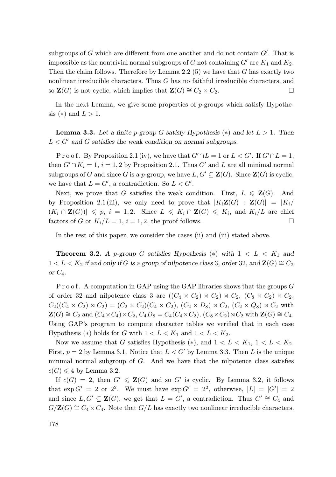subgroups of  $G$  which are different from one another and do not contain  $G'$ . That is impossible as the nontrivial normal subgroups of G not containing  $G'$  are  $K_1$  and  $K_2$ . Then the claim follows. Therefore by Lemma 2.2 (5) we have that  $G$  has exactly two nonlinear irreducible characters. Thus G has no faithful irreducible characters, and so  $\mathbf{Z}(G)$  is not cyclic, which implies that  $\mathbf{Z}(G) \cong C_2 \times C_2$ .

In the next Lemma, we give some properties of  $p$ -groups which satisfy Hypothesis (\*) and  $L > 1$ .

**Lemma 3.3.** Let a finite p-group G satisfy Hypothesis (\*) and let  $L > 1$ . Then  $L < G'$  and G satisfies the weak condition on normal subgroups.

P r o o f. By Proposition 2.1 (iv), we have that  $G' \cap L = 1$  or  $L < G'$ . If  $G' \cap L = 1$ , then  $G' \cap K_i = 1$ ,  $i = 1, 2$  by Proposition 2.1. Thus G' and L are all minimal normal subgroups of G and since G is a p-group, we have  $L, G' \subseteq \mathbf{Z}(G)$ . Since  $\mathbf{Z}(G)$  is cyclic, we have that  $L = G'$ , a contradiction. So  $L < G'$ .

Next, we prove that G satisfies the weak condition. First,  $L \leq \mathbf{Z}(G)$ . And by Proposition 2.1 (iii), we only need to prove that  $|K_i\mathbf{Z}(G)| = |K_i|$  $(K_i \cap \mathbf{Z}(G)) \leq p, i = 1, 2.$  Since  $L \leq K_i \cap \mathbf{Z}(G) \leq K_i$ , and  $K_i/L$  are chief factors of G or  $K_i/L = 1$ ,  $i = 1, 2$ , the proof follows.

In the rest of this paper, we consider the cases (ii) and (iii) stated above.

**Theorem 3.2.** A p-group G satisfies Hypothesis  $(*)$  with  $1 < L < K_1$  and  $1 < L < K_2$  if and only if G is a group of nilpotence class 3, order 32, and  $\mathbf{Z}(G) \cong C_2$ or  $C_4$ .

 $P$  r o o f. A computation in GAP using the GAP libraries shows that the groups  $G$ of order 32 and nilpotence class 3 are  $((C_4 \times C_2) \rtimes C_2) \rtimes C_2$ ,  $(C_8 \rtimes C_2) \rtimes C_2$ ,  $C_2((C_4 \times C_2) \rtimes C_2) = (C_2 \times C_2)(C_4 \times C_2), (C_2 \times D_8) \rtimes C_2, (C_2 \times Q_8) \rtimes C_2$  with  $\mathbf{Z}(G) \cong C_2$  and  $(C_4 \times C_4) \rtimes C_2$ ,  $C_4D_8 = C_4(C_4 \times C_2)$ ,  $(C_8 \times C_2) \rtimes C_2$  with  $\mathbf{Z}(G) \cong C_4$ . Using GAP's program to compute character tables we verified that in each case Hypothesis (\*) holds for G with  $1 < L < K_1$  and  $1 < L < K_2$ .

Now we assume that G satisfies Hypothesis  $(*)$ , and  $1 < L < K_1$ ,  $1 < L < K_2$ . First,  $p = 2$  by Lemma 3.1. Notice that  $L < G'$  by Lemma 3.3. Then L is the unique minimal normal subgroup of  $G$ . And we have that the nilpotence class satisfies  $c(G) \leq 4$  by Lemma 3.2.

If  $c(G) = 2$ , then  $G' \leq \mathbf{Z}(G)$  and so  $G'$  is cyclic. By Lemma 3.2, it follows that  $\exp G' = 2$  or  $2^2$ . We must have  $\exp G' = 2^2$ , otherwise,  $|L| = |G'| = 2$ and since  $L, G' \subseteq \mathbf{Z}(G)$ , we get that  $L = G'$ , a contradiction. Thus  $G' \cong C_4$  and  $G/Z(G) \cong C_4 \times C_4$ . Note that  $G/L$  has exactly two nonlinear irreducible characters.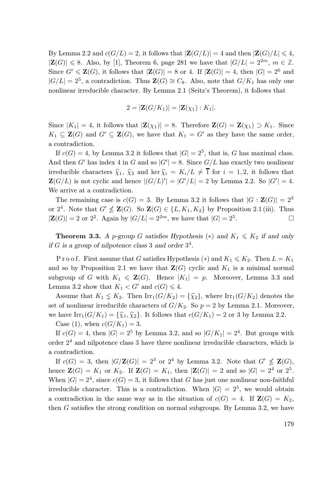By Lemma 2.2 and  $c(G/L) = 2$ , it follows that  $|\mathbf{Z}(G/L)| = 4$  and then  $|\mathbf{Z}(G)/L| \leq 4$ ,  $|\mathbf{Z}(G)| \leq 8$ . Also, by [1], Theorem 6, page 281 we have that  $|G/L| = 2^{2m}$ ,  $m \in \mathbb{Z}$ . Since  $G' \leq \mathbf{Z}(G)$ , it follows that  $|\mathbf{Z}(G)| = 8$  or 4. If  $|\mathbf{Z}(G)| = 4$ , then  $|G| = 2^6$  and  $|G/L| = 2^5$ , a contradiction. Thus  $\mathbf{Z}(G) \cong C_8$ . Also, note that  $G/K_1$  has only one nonlinear irreducible character. By Lemma 2.1 (Seitz's Theorem), it follows that

$$
2=|\mathbf{Z}(G/K_1)|=|\mathbf{Z}(\chi_1):K_1|.
$$

Since  $|K_1| = 4$ , it follows that  $|\mathbf{Z}(\chi_1)| = 8$ . Therefore  $\mathbf{Z}(G) = \mathbf{Z}(\chi_1) \supset K_1$ . Since  $K_1 \subseteq \mathbf{Z}(G)$  and  $G' \subseteq \mathbf{Z}(G)$ , we have that  $K_1 = G'$  as they have the same order, a contradiction.

If  $c(G) = 4$ , by Lemma 3.2 it follows that  $|G| = 2^5$ , that is, G has maximal class. And then G' has index 4 in G and so  $|G'| = 8$ . Since  $G/L$  has exactly two nonlinear irreducible characters  $\hat{\chi}_1$ ,  $\hat{\chi}_2$  and ker  $\hat{\chi}_i = K_i/L \neq \overline{1}$  for  $i = 1, 2$ , it follows that  $\mathbf{Z}(G/L)$  is not cyclic and hence  $|(G/L)'| = |G'/L| = 2$  by Lemma 2.2. So  $|G'| = 4$ . We arrive at a contradiction.

The remaining case is  $c(G) = 3$ . By Lemma 3.2 it follows that  $|G : \mathbf{Z}(G)| = 2^3$ or  $2^4$ . Note that  $G' \nleq \mathbf{Z}(G)$ . So  $\mathbf{Z}(G) \in \{L, K_1, K_2\}$  by Proposition 2.1 (iii). Thus  $|\mathbf{Z}(G)| = 2$  or  $2^2$ . Again by  $|G/L| = 2^{2m}$ , we have that  $|G| = 2^5$ .

**Theorem 3.3.** A p-group G satisfies Hypothesis (\*) and  $K_1 \leq K_2$  if and only if  $G$  is a group of nilpotence class 3 and order  $3^4$ .

P r o o f. First assume that G satisfies Hypothesis (\*) and  $K_1 \leqslant K_2$ . Then  $L = K_1$ and so by Proposition 2.1 we have that  $\mathbf{Z}(G)$  cyclic and  $K_1$  is a minimal normal subgroup of G with  $K_1 \leq \mathbf{Z}(G)$ . Hence  $|K_1| = p$ . Moreover, Lemma 3.3 and Lemma 3.2 show that  $K_1 < G'$  and  $c(G) \leq 4$ .

Assume that  $K_1 \leq K_2$ . Then  $\text{Irr}_1(G/K_2) = {\hat{\chi}_2}$ , where  $\text{Irr}_1(G/K_2)$  denotes the set of nonlinear irreducible characters of  $G/K_2$ . So  $p = 2$  by Lemma 2.1. Moreover, we have  $\text{Irr}_1(G/K_1) = {\hat{\chi}_1, \hat{\chi}_2}$ . It follows that  $c(G/K_1) = 2$  or 3 by Lemma 2.2.

Case (1), when  $c(G/K_1) = 3$ .

If  $c(G) = 4$ , then  $|G| = 2^5$  by Lemma 3.2, and so  $|G/K_1| = 2^4$ . But groups with order 2 <sup>4</sup> and nilpotence class 3 have three nonlinear irreducible characters, which is a contradiction.

If  $c(G) = 3$ , then  $|G/\mathbf{Z}(G)| = 2^3$  or  $2^4$  by Lemma 3.2. Note that  $G' \nleq \mathbf{Z}(G)$ , hence  $\mathbf{Z}(G) = K_1$  or  $K_2$ . If  $\mathbf{Z}(G) = K_1$ , then  $|\mathbf{Z}(G)| = 2$  and so  $|G| = 2^4$  or  $2^5$ . When  $|G| = 2<sup>4</sup>$ , since  $c(G) = 3$ , it follows that G has just one nonlinear non-faithful irreducible character. This is a contradiction. When  $|G| = 2^5$ , we would obtain a contradiction in the same way as in the situation of  $c(G) = 4$ . If  $\mathbf{Z}(G) = K_2$ , then G satisfies the strong condition on normal subgroups. By Lemma 3.2, we have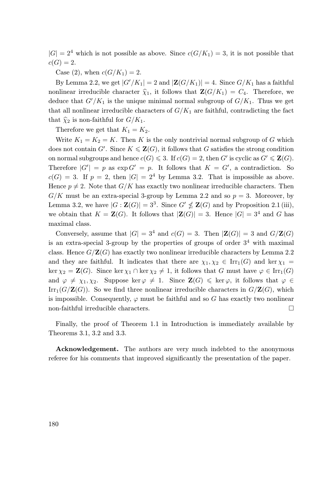$|G| = 2<sup>4</sup>$  which is not possible as above. Since  $c(G/K_1) = 3$ , it is not possible that  $c(G) = 2.$ 

Case (2), when  $c(G/K_1) = 2$ .

By Lemma 2.2, we get  $|G'/K_1| = 2$  and  $|\mathbf{Z}(G/K_1)| = 4$ . Since  $G/K_1$  has a faithful nonlinear irreducible character  $\hat{\chi}_1$ , it follows that  $\mathbf{Z}(G/K_1) = C_4$ . Therefore, we deduce that  $G'/K_1$  is the unique minimal normal subgroup of  $G/K_1$ . Thus we get that all nonlinear irreducible characters of  $G/K_1$  are faithful, contradicting the fact that  $\widehat{\chi}_2$  is non-faithful for  $G/K_1$ .

Therefore we get that  $K_1 = K_2$ .

Write  $K_1 = K_2 = K$ . Then K is the only nontrivial normal subgroup of G which does not contain  $G'$ . Since  $K \le \mathbf{Z}(G)$ , it follows that G satisfies the strong condition on normal subgroups and hence  $c(G) \leq 3$ . If  $c(G) = 2$ , then G' is cyclic as  $G' \leq \mathbf{Z}(G)$ . Therefore  $|G'| = p$  as  $\exp G' = p$ . It follows that  $K = G'$ , a contradiction. So  $c(G) = 3$ . If  $p = 2$ , then  $|G| = 2<sup>4</sup>$  by Lemma 3.2. That is impossible as above. Hence  $p \neq 2$ . Note that  $G/K$  has exactly two nonlinear irreducible characters. Then  $G/K$  must be an extra-special 3-group by Lemma 2.2 and so  $p = 3$ . Moreover, by Lemma 3.2, we have  $|G : \mathbf{Z}(G)| = 3^3$ . Since  $G' \nleq \mathbf{Z}(G)$  and by Proposition 2.1 (iii), we obtain that  $K = \mathbf{Z}(G)$ . It follows that  $|\mathbf{Z}(G)| = 3$ . Hence  $|G| = 3^4$  and G has maximal class.

Conversely, assume that  $|G| = 3^4$  and  $c(G) = 3$ . Then  $|\mathbf{Z}(G)| = 3$  and  $G/\mathbf{Z}(G)$ is an extra-special 3-group by the properties of groups of order  $3<sup>4</sup>$  with maximal class. Hence  $G/Z(G)$  has exactly two nonlinear irreducible characters by Lemma 2.2 and they are faithful. It indicates that there are  $\chi_1, \chi_2 \in \text{Irr}_1(G)$  and ker  $\chi_1$  = ker  $\chi_2 = \mathbf{Z}(G)$ . Since ker  $\chi_1 \cap \ker \chi_2 \neq 1$ , it follows that G must have  $\varphi \in \text{Irr}_1(G)$ and  $\varphi \neq \chi_1, \chi_2$ . Suppose ker $\varphi \neq 1$ . Since  $\mathbf{Z}(G) \leq \ker \varphi$ , it follows that  $\varphi \in$  $\text{Irr}_1(G/\mathbf{Z}(G))$ . So we find three nonlinear irreducible characters in  $G/\mathbf{Z}(G)$ , which is impossible. Consequently,  $\varphi$  must be faithful and so G has exactly two nonlinear non-faithful irreducible characters.  $\Box$ 

Finally, the proof of Theorem 1.1 in Introduction is immediately available by Theorems 3.1, 3.2 and 3.3.

Acknowledgement. The authors are very much indebted to the anonymous referee for his comments that improved significantly the presentation of the paper.